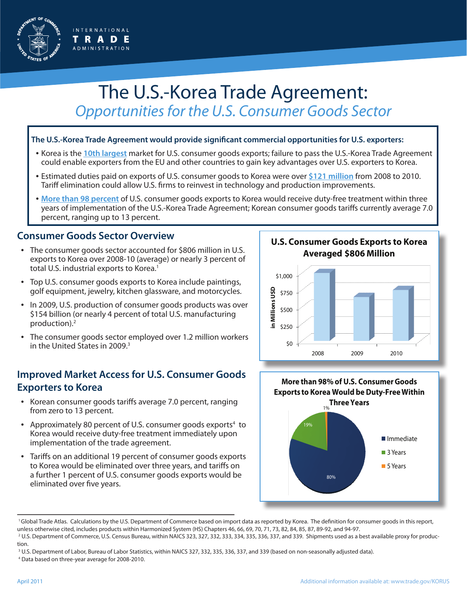

# The U.S.-Korea Trade Agreement: *Opportunities for the U.S. Consumer Goods Sector*

#### **The U.S.-Korea Trade Agreement would provide significant commercial opportunities for U.S. exporters:**

- Korea is the **10th largest** market for U.S. consumer goods exports; failure to pass the U.S.-Korea Trade Agreement could enable exporters from the EU and other countries to gain key advantages over U.S. exporters to Korea.
- Estimated duties paid on exports of U.S. consumer goods to Korea were over **\$121 million** from 2008 to 2010. Tariff elimination could allow U.S. firms to reinvest in technology and production improvements.
- **More than 98 percent** of U.S. consumer goods exports to Korea would receive duty-free treatment within three years of implementation of the U.S.-Korea Trade Agreement; Korean consumer goods tariffs currently average 7.0 percent, ranging up to 13 percent.

### **Consumer Goods Sector Overview**

- The consumer goods sector accounted for \$806 million in U.S. exports to Korea over 2008-10 (average) or nearly 3 percent of total U.S. industrial exports to Korea.<sup>1</sup>
- Top U.S. consumer goods exports to Korea include paintings, golf equipment, jewelry, kitchen glassware, and motorcycles.
- In 2009, U.S. production of consumer goods products was over \$154 billion (or nearly 4 percent of total U.S. manufacturing production).2
- The consumer goods sector employed over 1.2 million workers in the United States in 2009.<sup>3</sup>

## **Improved Market Access for U.S. Consumer Goods Exporters to Korea**

- Korean consumer goods tariffs average 7.0 percent, ranging from zero to 13 percent.
- Approximately 80 percent of U.S. consumer goods exports<sup>4</sup> to Korea would receive duty-free treatment immediately upon implementation of the trade agreement.
- Tariffs on an additional 19 percent of consumer goods exports to Korea would be eliminated over three years, and tariffs on a further 1 percent of U.S. consumer goods exports would be eliminated over five years.

**U.S. Consumer Goods Exports to Korea Averaged \$806 Million**



80% 19% 1% **Immediate 3 Years 5 Years More than 98% of U.S. Consumer Goods Exports to Korea Would be Duty-Free Within Three Years**

<sup>&</sup>lt;sup>1</sup> Global Trade Atlas. Calculations by the U.S. Department of Commerce based on import data as reported by Korea. The definition for consumer goods in this report, unless otherwise cited, includes products within Harmonized System (HS) Chapters 46, 66, 69, 70, 71, 73, 82, 84, 85, 87, 89-92, and 94-97. 2 U.S. Department of Commerce, U.S. Census Bureau, within NAICS 323, 327, 332, 333, 334, 335, 336, 337, and 339. Shipments used as a best available proxy for produc-

tion.

<sup>3</sup> U.S. Department of Labor, Bureau of Labor Statistics, within NAICS 327, 332, 335, 336, 337, and 339 (based on non-seasonally adjusted data). 4 Data based on three-year average for 2008-2010.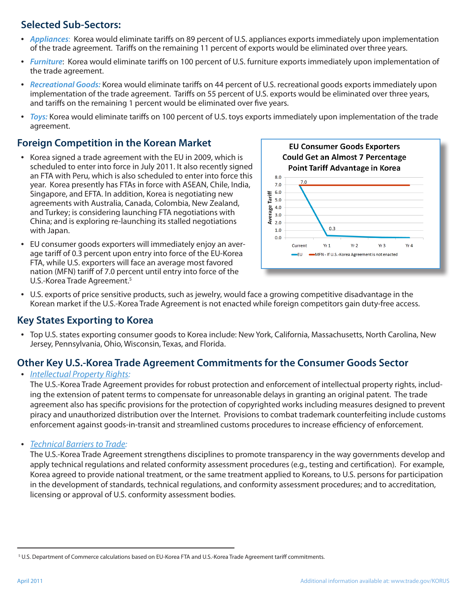# **Selected Sub-Sectors:**

- *Appliances*: Korea would eliminate tariffs on 89 percent of U.S. appliances exports immediately upon implementation of the trade agreement. Tariffs on the remaining 11 percent of exports would be eliminated over three years.
- *Furniture*: Korea would eliminate tariffs on 100 percent of U.S. furniture exports immediately upon implementation of the trade agreement.
- *Recreational Goods:* Korea would eliminate tariffs on 44 percent of U.S. recreational goods exports immediately upon implementation of the trade agreement. Tariffs on 55 percent of U.S. exports would be eliminated over three years, and tariffs on the remaining 1 percent would be eliminated over five years.
- *Toys:* Korea would eliminate tariffs on 100 percent of U.S. toys exports immediately upon implementation of the trade agreement.

## **Foreign Competition in the Korean Market**

- Korea signed a trade agreement with the EU in 2009, which is scheduled to enter into force in July 2011. It also recently signed an FTA with Peru, which is also scheduled to enter into force this year. Korea presently has FTAs in force with ASEAN, Chile, India, Singapore, and EFTA. In addition, Korea is negotiating new agreements with Australia, Canada, Colombia, New Zealand, and Turkey; is considering launching FTA negotiations with China; and is exploring re-launching its stalled negotiations with Japan.
- EU consumer goods exporters will immediately enjoy an average tariff of 0.3 percent upon entry into force of the EU-Korea FTA, while U.S. exporters will face an average most favored nation (MFN) tariff of 7.0 percent until entry into force of the U.S.-Korea Trade Agreement.<sup>5</sup>



• U.S. exports of price sensitive products, such as jewelry, would face a growing competitive disadvantage in the Korean market if the U.S.-Korea Trade Agreement is not enacted while foreign competitors gain duty-free access.

### **Key States Exporting to Korea**

• Top U.S. states exporting consumer goods to Korea include: New York, California, Massachusetts, North Carolina, New Jersey, Pennsylvania, Ohio, Wisconsin, Texas, and Florida.

# **Other Key U.S.-Korea Trade Agreement Commitments for the Consumer Goods Sector**

#### • *Intellectual Property Rights:*

The U.S.-Korea Trade Agreement provides for robust protection and enforcement of intellectual property rights, including the extension of patent terms to compensate for unreasonable delays in granting an original patent. The trade agreement also has specific provisions for the protection of copyrighted works including measures designed to prevent piracy and unauthorized distribution over the Internet. Provisions to combat trademark counterfeiting include customs enforcement against goods-in-transit and streamlined customs procedures to increase efficiency of enforcement.

• *Technical Barriers to Trade:* 

The U.S.-Korea Trade Agreement strengthens disciplines to promote transparency in the way governments develop and apply technical regulations and related conformity assessment procedures (e.g., testing and certification). For example, Korea agreed to provide national treatment, or the same treatment applied to Koreans, to U.S. persons for participation in the development of standards, technical regulations, and conformity assessment procedures; and to accreditation, licensing or approval of U.S. conformity assessment bodies.

<sup>5</sup> U.S. Department of Commerce calculations based on EU-Korea FTA and U.S.-Korea Trade Agreement tariff commitments.